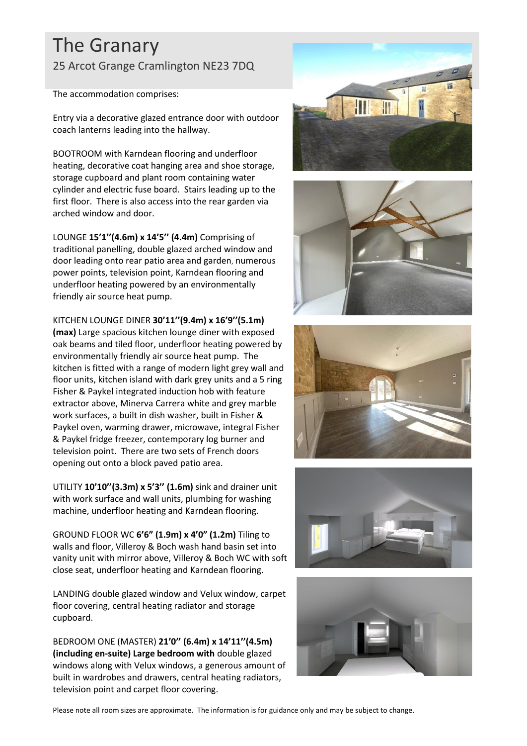## The Granary 25 Arcot Grange Cramlington NE23 7DQ

The accommodation comprises:

Entry via a decorative glazed entrance door with outdoor coach lanterns leading into the hallway.

BOOTROOM with Karndean flooring and underfloor heating, decorative coat hanging area and shoe storage, storage cupboard and plant room containing water cylinder and electric fuse board. Stairs leading up to the first floor. There is also access into the rear garden via arched window and door.

LOUNGE **15'1''(4.6m) x 14'5'' (4.4m)** Comprising of traditional panelling, double glazed arched window and door leading onto rear patio area and garden, numerous power points, television point, Karndean flooring and underfloor heating powered by an environmentally friendly air source heat pump.

KITCHEN LOUNGE DINER **30'11''(9.4m) x 16'9''(5.1m) (max)** Large spacious kitchen lounge diner with exposed oak beams and tiled floor, underfloor heating powered by

environmentally friendly air source heat pump. The kitchen is fitted with a range of modern light grey wall and floor units, kitchen island with dark grey units and a 5 ring Fisher & Paykel integrated induction hob with feature extractor above, Minerva Carrera white and grey marble work surfaces, a built in dish washer, built in Fisher & Paykel oven, warming drawer, microwave, integral Fisher & Paykel fridge freezer, contemporary log burner and television point. There are two sets of French doors opening out onto a block paved patio area.

UTILITY **10'10''(3.3m) x 5'3'' (1.6m)** sink and drainer unit with work surface and wall units, plumbing for washing machine, underfloor heating and Karndean flooring.

GROUND FLOOR WC **6'6" (1.9m) x 4'0" (1.2m)** Tiling to walls and floor, Villeroy & Boch wash hand basin set into vanity unit with mirror above, Villeroy & Boch WC with soft close seat, underfloor heating and Karndean flooring.

LANDING double glazed window and Velux window, carpet floor covering, central heating radiator and storage cupboard.

BEDROOM ONE (MASTER) **21'0'' (6.4m) x 14'11''(4.5m) (including en-suite) Large bedroom with** double glazed windows along with Velux windows, a generous amount of built in wardrobes and drawers, central heating radiators, television point and carpet floor covering.











Please note all room sizes are approximate. The information is for guidance only and may be subject to change.